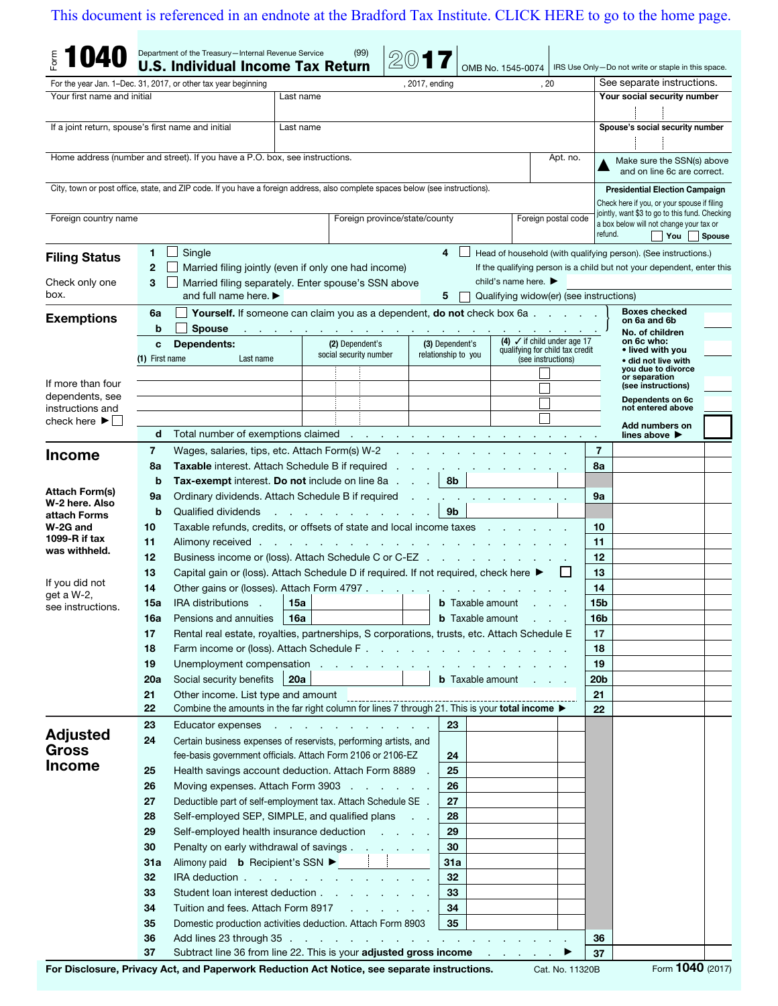## [This document is referenced in an endnote at the Bradford Tax Institute. CLICK HERE to go to the home page.](www.bradfordtaxinstitute.com)

|                                                    |                   | Department of the Treasury-Internal Revenue Service<br><b>U.S. Individual Income Tax Return</b>                                                                                                                                |           | (99)                                                                                                              |                |                                                    | OMB No. 1545-0074                        |                                                       |                             | IRS Use Only-Do not write or staple in this space.                                            |               |
|----------------------------------------------------|-------------------|--------------------------------------------------------------------------------------------------------------------------------------------------------------------------------------------------------------------------------|-----------|-------------------------------------------------------------------------------------------------------------------|----------------|----------------------------------------------------|------------------------------------------|-------------------------------------------------------|-----------------------------|-----------------------------------------------------------------------------------------------|---------------|
|                                                    |                   | For the year Jan. 1–Dec. 31, 2017, or other tax year beginning                                                                                                                                                                 |           |                                                                                                                   | , 2017, ending |                                                    |                                          | , 20                                                  |                             | See separate instructions.                                                                    |               |
| Your first name and initial                        |                   |                                                                                                                                                                                                                                | Last name |                                                                                                                   |                |                                                    |                                          |                                                       | Your social security number |                                                                                               |               |
|                                                    |                   |                                                                                                                                                                                                                                |           |                                                                                                                   |                |                                                    |                                          |                                                       |                             |                                                                                               |               |
| If a joint return, spouse's first name and initial |                   |                                                                                                                                                                                                                                | Last name |                                                                                                                   |                |                                                    |                                          |                                                       |                             | Spouse's social security number                                                               |               |
|                                                    |                   |                                                                                                                                                                                                                                |           |                                                                                                                   |                |                                                    |                                          |                                                       |                             |                                                                                               |               |
|                                                    |                   | Home address (number and street). If you have a P.O. box, see instructions.                                                                                                                                                    |           |                                                                                                                   |                |                                                    |                                          | Apt. no.                                              |                             | Make sure the SSN(s) above                                                                    |               |
|                                                    |                   |                                                                                                                                                                                                                                |           |                                                                                                                   |                |                                                    |                                          |                                                       |                             | and on line 6c are correct.                                                                   |               |
|                                                    |                   | City, town or post office, state, and ZIP code. If you have a foreign address, also complete spaces below (see instructions).                                                                                                  |           |                                                                                                                   |                |                                                    |                                          |                                                       |                             | <b>Presidential Election Campaign</b>                                                         |               |
|                                                    |                   |                                                                                                                                                                                                                                |           |                                                                                                                   |                |                                                    |                                          |                                                       |                             | Check here if you, or your spouse if filing<br>jointly, want \$3 to go to this fund. Checking |               |
| Foreign country name                               |                   |                                                                                                                                                                                                                                |           | Foreign postal code<br>Foreign province/state/county                                                              |                |                                                    |                                          |                                                       |                             | a box below will not change your tax or<br>refund.                                            |               |
|                                                    |                   |                                                                                                                                                                                                                                |           |                                                                                                                   |                |                                                    |                                          |                                                       |                             | $\mathsf{T}$ You                                                                              | <b>Spouse</b> |
| <b>Filing Status</b>                               | 1                 | Single                                                                                                                                                                                                                         |           |                                                                                                                   |                | 4                                                  |                                          |                                                       |                             | Head of household (with qualifying person). (See instructions.)                               |               |
|                                                    | $\mathbf{2}$<br>3 | Married filing jointly (even if only one had income)                                                                                                                                                                           |           |                                                                                                                   |                |                                                    | child's name here. $\blacktriangleright$ |                                                       |                             | If the qualifying person is a child but not your dependent, enter this                        |               |
| Check only one<br>box.                             |                   | Married filing separately. Enter spouse's SSN above<br>and full name here. $\blacktriangleright$                                                                                                                               |           |                                                                                                                   |                | 5                                                  | Qualifying widow(er) (see instructions)  |                                                       |                             |                                                                                               |               |
|                                                    | 6a                |                                                                                                                                                                                                                                |           | Yourself. If someone can claim you as a dependent, do not check box 6a                                            |                |                                                    |                                          |                                                       |                             | <b>Boxes checked</b>                                                                          |               |
| <b>Exemptions</b>                                  | b                 | <b>Spouse</b>                                                                                                                                                                                                                  |           |                                                                                                                   |                |                                                    |                                          |                                                       |                             | on 6a and 6b                                                                                  |               |
|                                                    | C                 | <b>Dependents:</b>                                                                                                                                                                                                             |           | and the company of the company of<br>(4) $\checkmark$ if child under age 17<br>(2) Dependent's<br>(3) Dependent's |                |                                                    |                                          |                                                       |                             | No. of children<br>on 6c who:                                                                 |               |
|                                                    | (1) First name    | Last name                                                                                                                                                                                                                      |           | social security number                                                                                            |                | relationship to you                                |                                          | qualifying for child tax credit<br>(see instructions) |                             | • lived with you<br>• did not live with                                                       |               |
|                                                    |                   |                                                                                                                                                                                                                                |           |                                                                                                                   |                |                                                    |                                          |                                                       |                             | you due to divorce<br>or separation                                                           |               |
| If more than four                                  |                   |                                                                                                                                                                                                                                |           |                                                                                                                   |                |                                                    |                                          |                                                       |                             | (see instructions)                                                                            |               |
| dependents, see<br>instructions and                |                   |                                                                                                                                                                                                                                |           |                                                                                                                   |                |                                                    |                                          |                                                       |                             | Dependents on 6c<br>not entered above                                                         |               |
| check here $\blacktriangleright$                   |                   |                                                                                                                                                                                                                                |           |                                                                                                                   |                |                                                    |                                          |                                                       |                             | Add numbers on                                                                                |               |
|                                                    | d                 | Total number of exemptions claimed results and results are a set of exemptions claimed results and results are a set of the set of the set of the set of the set of the set of the set of the set of the set of the set of the |           |                                                                                                                   |                |                                                    |                                          |                                                       |                             | lines above $\blacktriangleright$                                                             |               |
| <b>Income</b>                                      | 7                 | Wages, salaries, tips, etc. Attach Form(s) W-2                                                                                                                                                                                 |           |                                                                                                                   |                |                                                    |                                          |                                                       | 7                           |                                                                                               |               |
|                                                    | 8a                | Taxable interest. Attach Schedule B if required .                                                                                                                                                                              |           |                                                                                                                   |                |                                                    |                                          |                                                       | 8a                          |                                                                                               |               |
|                                                    | b                 | <b>Tax-exempt interest. Do not include on line 8a</b>                                                                                                                                                                          |           |                                                                                                                   |                | 8b                                                 |                                          |                                                       |                             |                                                                                               |               |
| Attach Form(s)<br>W-2 here, Also                   | 9а                | Ordinary dividends. Attach Schedule B if required                                                                                                                                                                              |           | 9a                                                                                                                |                |                                                    |                                          |                                                       |                             |                                                                                               |               |
| attach Forms                                       | b                 | 9b<br>Qualified dividends<br>the contract of the contract                                                                                                                                                                      |           |                                                                                                                   |                |                                                    |                                          |                                                       |                             |                                                                                               |               |
| W-2G and                                           | 10                | Taxable refunds, credits, or offsets of state and local income taxes                                                                                                                                                           |           |                                                                                                                   |                |                                                    |                                          |                                                       | 10                          |                                                                                               |               |
| 1099- $R$ if tax<br>was withheld.                  | 11                | Alimony received.                                                                                                                                                                                                              |           | 11                                                                                                                |                |                                                    |                                          |                                                       |                             |                                                                                               |               |
|                                                    | 12                | Business income or (loss). Attach Schedule C or C-EZ                                                                                                                                                                           |           | 12                                                                                                                |                |                                                    |                                          |                                                       |                             |                                                                                               |               |
| If you did not                                     | 13                | Capital gain or (loss). Attach Schedule D if required. If not required, check here ▶                                                                                                                                           |           |                                                                                                                   |                |                                                    |                                          |                                                       | 13                          |                                                                                               |               |
| get a W-2,                                         | 14                | Other gains or (losses). Attach Form 4797                                                                                                                                                                                      |           |                                                                                                                   |                |                                                    |                                          |                                                       | 14<br>15 <sub>b</sub>       |                                                                                               |               |
| see instructions.                                  | 15a               | <b>IRA</b> distributions<br>$\sim$                                                                                                                                                                                             | 15a       |                                                                                                                   |                | <b>b</b> Taxable amount<br><b>b</b> Taxable amount |                                          |                                                       | 16b                         |                                                                                               |               |
|                                                    | 16a<br>17         | Pensions and annuities<br>Rental real estate, royalties, partnerships, S corporations, trusts, etc. Attach Schedule E                                                                                                          | ∣ 16a     |                                                                                                                   |                |                                                    | <b>Contractor</b>                        |                                                       | 17                          |                                                                                               |               |
|                                                    | 18                |                                                                                                                                                                                                                                |           |                                                                                                                   |                |                                                    |                                          |                                                       | 18                          |                                                                                               |               |
|                                                    | 19                |                                                                                                                                                                                                                                |           |                                                                                                                   |                |                                                    |                                          |                                                       | 19                          |                                                                                               |               |
|                                                    | 20a               | Social security benefits                                                                                                                                                                                                       | 20a       |                                                                                                                   |                |                                                    | <b>b</b> Taxable amount                  |                                                       | 20 <sub>b</sub>             |                                                                                               |               |
|                                                    | 21                | Other income. List type and amount                                                                                                                                                                                             |           |                                                                                                                   |                |                                                    |                                          |                                                       | 21                          |                                                                                               |               |
|                                                    | 22                | Utrier income. List type and amount<br>Combine the amounts in the far right column for lines 7 through 21. This is your total income ▶                                                                                         |           |                                                                                                                   |                |                                                    |                                          |                                                       | 22                          |                                                                                               |               |
|                                                    | 23                | Educator expenses                                                                                                                                                                                                              |           | the contract of the contract of the contract of                                                                   |                | 23                                                 |                                          |                                                       |                             |                                                                                               |               |
| <b>Adjusted</b>                                    | 24                | Certain business expenses of reservists, performing artists, and                                                                                                                                                               |           |                                                                                                                   |                |                                                    |                                          |                                                       |                             |                                                                                               |               |
| <b>Gross</b><br><b>Income</b>                      |                   | fee-basis government officials. Attach Form 2106 or 2106-EZ                                                                                                                                                                    |           |                                                                                                                   |                | 24                                                 |                                          |                                                       |                             |                                                                                               |               |
|                                                    | 25                | Health savings account deduction. Attach Form 8889                                                                                                                                                                             |           |                                                                                                                   |                | 25                                                 |                                          |                                                       |                             |                                                                                               |               |
|                                                    | 26                | Moving expenses. Attach Form 3903                                                                                                                                                                                              |           |                                                                                                                   |                | 26                                                 |                                          |                                                       |                             |                                                                                               |               |
|                                                    | 27                | Deductible part of self-employment tax. Attach Schedule SE .                                                                                                                                                                   |           |                                                                                                                   |                | 27                                                 |                                          |                                                       |                             |                                                                                               |               |
|                                                    | 28                | Self-employed SEP, SIMPLE, and qualified plans                                                                                                                                                                                 |           |                                                                                                                   |                | 28                                                 |                                          |                                                       |                             |                                                                                               |               |
|                                                    | 29<br>30          | Self-employed health insurance deduction<br>Penalty on early withdrawal of savings                                                                                                                                             |           |                                                                                                                   |                | 29<br>30                                           |                                          |                                                       |                             |                                                                                               |               |
|                                                    | 31a               | Alimony paid <b>b</b> Recipient's SSN ▶ │ │                                                                                                                                                                                    |           |                                                                                                                   |                | 31a                                                |                                          |                                                       |                             |                                                                                               |               |
|                                                    | 32                | IRA deduction                                                                                                                                                                                                                  |           |                                                                                                                   |                | 32                                                 |                                          |                                                       |                             |                                                                                               |               |
|                                                    | 33                | Student loan interest deduction                                                                                                                                                                                                |           |                                                                                                                   |                | 33                                                 |                                          |                                                       |                             |                                                                                               |               |
|                                                    | 34                | Tuition and fees. Attach Form 8917                                                                                                                                                                                             |           |                                                                                                                   |                | 34                                                 |                                          |                                                       |                             |                                                                                               |               |
|                                                    | 35                | Domestic production activities deduction. Attach Form 8903                                                                                                                                                                     |           |                                                                                                                   |                | 35                                                 |                                          |                                                       |                             |                                                                                               |               |
|                                                    | 36                |                                                                                                                                                                                                                                |           |                                                                                                                   |                |                                                    |                                          |                                                       | 36                          |                                                                                               |               |
|                                                    | 37                | Subtract line 36 from line 22. This is your adjusted gross income and the state of the state of sub-                                                                                                                           |           |                                                                                                                   |                |                                                    |                                          |                                                       | 37                          |                                                                                               |               |
|                                                    |                   | Driveou Act, and Denomycrk Poduction Act Notice, ace concrete instructions                                                                                                                                                     |           |                                                                                                                   |                |                                                    |                                          | 11000D                                                |                             | $F_{\text{orm}}$ 1040 (2017)                                                                  |               |

For Disclosure, Privacy Act, and Paperwork Reduction Act Notice, see separate instructions. Cat. No. 11320B Form 1040 (2017)